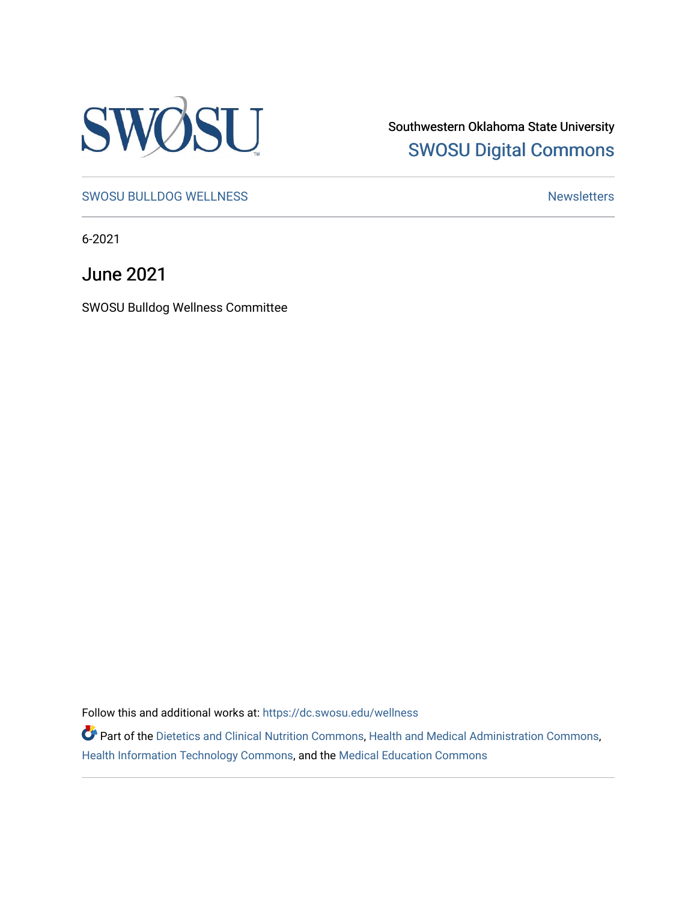

Southwestern Oklahoma State University [SWOSU Digital Commons](https://dc.swosu.edu/) 

[SWOSU BULLDOG WELLNESS](https://dc.swosu.edu/wellness) Newsletters

6-2021

June 2021

SWOSU Bulldog Wellness Committee

Follow this and additional works at: [https://dc.swosu.edu/wellness](https://dc.swosu.edu/wellness?utm_source=dc.swosu.edu%2Fwellness%2F42&utm_medium=PDF&utm_campaign=PDFCoverPages) 

Part of the [Dietetics and Clinical Nutrition Commons,](http://network.bepress.com/hgg/discipline/662?utm_source=dc.swosu.edu%2Fwellness%2F42&utm_medium=PDF&utm_campaign=PDFCoverPages) [Health and Medical Administration Commons](http://network.bepress.com/hgg/discipline/663?utm_source=dc.swosu.edu%2Fwellness%2F42&utm_medium=PDF&utm_campaign=PDFCoverPages), [Health Information Technology Commons,](http://network.bepress.com/hgg/discipline/1239?utm_source=dc.swosu.edu%2Fwellness%2F42&utm_medium=PDF&utm_campaign=PDFCoverPages) and the [Medical Education Commons](http://network.bepress.com/hgg/discipline/1125?utm_source=dc.swosu.edu%2Fwellness%2F42&utm_medium=PDF&utm_campaign=PDFCoverPages)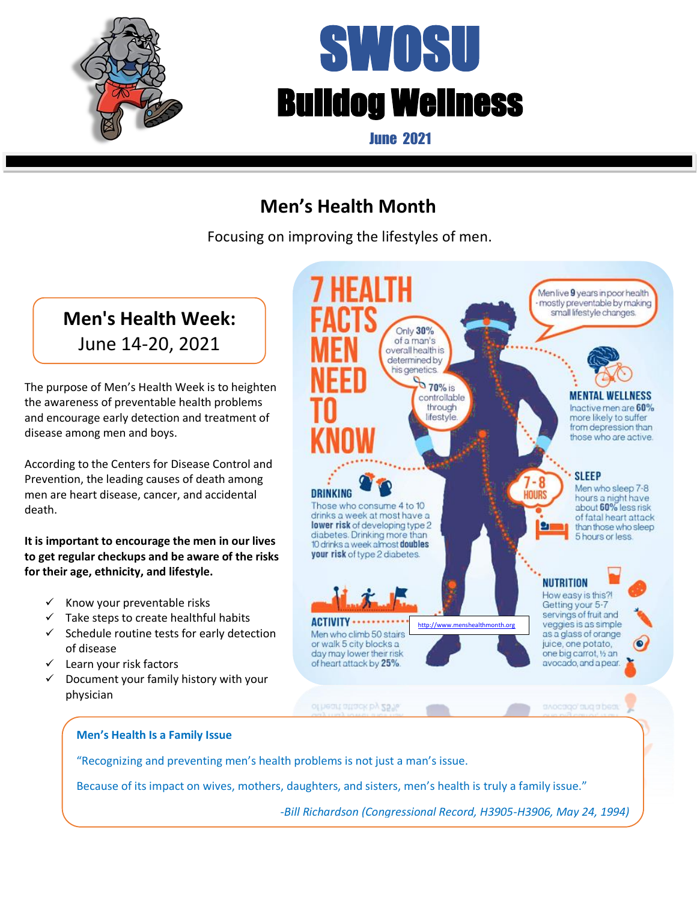

death.

# SWOSU Bulldog Wellness

June 2021

## **Men's Health Month**

 $\overline{a}$ 

Focusing on improving the lifestyles of men.



Because of its impact on wives, mothers, daughters, and sisters, men's health is truly a family issue."

-*Bill Richardson (Congressional Record, H3905-H3906, May 24, 1994)*